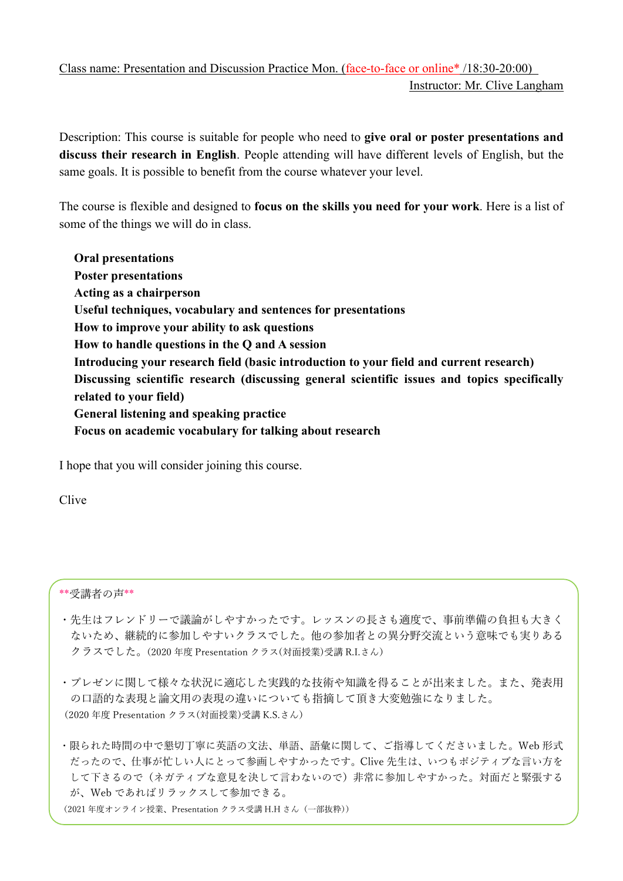## Class name: Presentation and Discussion Practice Mon. (face-to-face or online\* /18:30-20:00) Instructor: Mr. Clive Langham

Description: This course is suitable for people who need to give oral or poster presentations and discuss their research in English. People attending will have different levels of English, but the same goals. It is possible to benefit from the course whatever your level.

The course is flexible and designed to focus on the skills you need for your work. Here is a list of some of the things we will do in class.

Oral presentations Poster presentations Acting as a chairperson Useful techniques, vocabulary and sentences for presentations How to improve your ability to ask questions How to handle questions in the Q and A session Introducing your research field (basic introduction to your field and current research) Discussing scientific research (discussing general scientific issues and topics specifically related to your field) General listening and speaking practice Focus on academic vocabulary for talking about research

I hope that you will consider joining this course.

Clive

\*\*受講者の声\*\*

- ・先生はフレンドリーで議論がしやすかったです。レッスンの⾧さも適度で、事前準備の負担も大きく ないため、継続的に参加しやすいクラスでした。他の参加者との異分野交流という意味でも実りある クラスでした。(2020 年度 Presentation クラス(対面授業)受講 R.I.さん)
- ・プレゼンに関して様々な状況に適応した実践的な技術や知識を得ることが出来ました。また、発表用 の口語的な表現と論文用の表現の違いについても指摘して頂き大変勉強になりました。 (2020 年度 Presentation クラス(対面授業)受講 K.S.さん)

・限られた時間の中で懇切丁寧に英語の文法、単語、語彙に関して、ご指導してくださいました。Web 形式 だったので、仕事が忙しい人にとって参画しやすかったです。Clive 先生は、いつもポジティブな言い方を して下さるので(ネガティブな意見を決して言わないので)非常に参加しやすかった。対面だと緊張する が、Web であればリラックスして参加できる。

(2021 年度オンライン授業、Presentation クラス受講 H.H さん(一部抜粋))